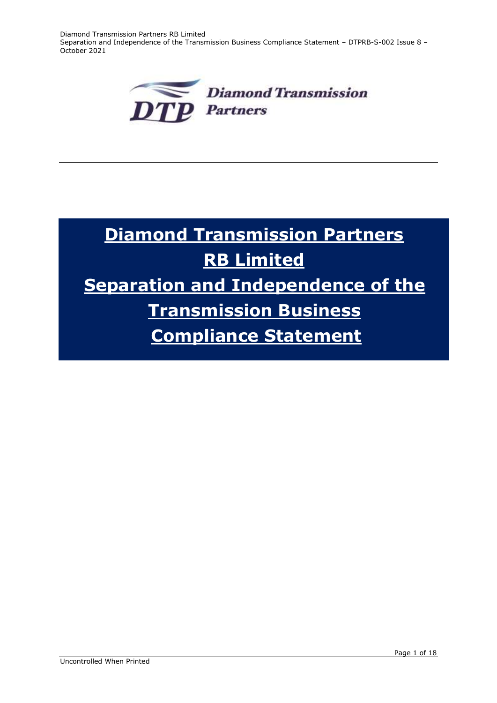Diamond Transmission Partners RB Limited Separation and Independence of the Transmission Business Compliance Statement – DTPRB-S-002 Issue 8 – October 2021



# **Diamond Transmission Partners RB Limited Separation and Independence of the Transmission Business Compliance Statement**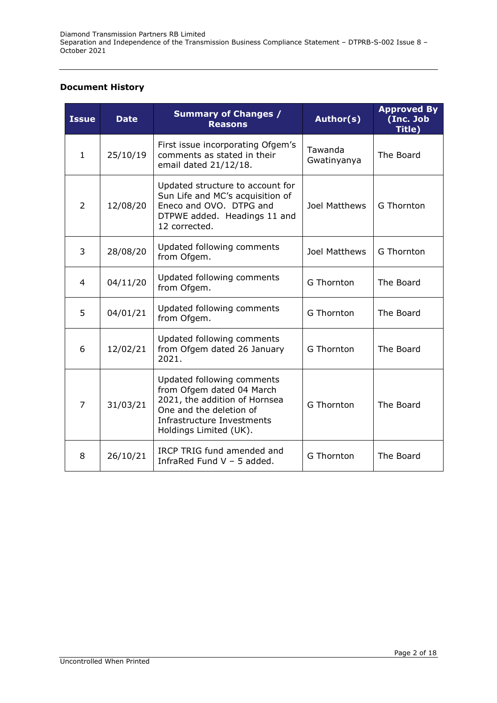## **Document History**

| <b>Issue</b> | <b>Date</b> | <b>Summary of Changes /</b><br><b>Reasons</b>                                                                                                                               | Author(s)              | <b>Approved By</b><br>(Inc. Job<br>Title) |
|--------------|-------------|-----------------------------------------------------------------------------------------------------------------------------------------------------------------------------|------------------------|-------------------------------------------|
| $\mathbf{1}$ | 25/10/19    | First issue incorporating Ofgem's<br>comments as stated in their<br>email dated 21/12/18.                                                                                   | Tawanda<br>Gwatinyanya | The Board                                 |
| 2            | 12/08/20    | Updated structure to account for<br>Sun Life and MC's acquisition of<br>Eneco and OVO. DTPG and<br>DTPWE added. Headings 11 and<br>12 corrected.                            | Joel Matthews          | G Thornton                                |
| 3            | 28/08/20    | Updated following comments<br>from Ofgem.                                                                                                                                   | Joel Matthews          | G Thornton                                |
| 4            | 04/11/20    | Updated following comments<br>from Ofgem.                                                                                                                                   | G Thornton             | The Board                                 |
| 5            | 04/01/21    | Updated following comments<br>from Ofgem.                                                                                                                                   | G Thornton             | The Board                                 |
| 6            | 12/02/21    | Updated following comments<br>from Ofgem dated 26 January<br>2021.                                                                                                          | G Thornton             | The Board                                 |
| 7            | 31/03/21    | Updated following comments<br>from Ofgem dated 04 March<br>2021, the addition of Hornsea<br>One and the deletion of<br>Infrastructure Investments<br>Holdings Limited (UK). | G Thornton             | The Board                                 |
| 8            | 26/10/21    | IRCP TRIG fund amended and<br>InfraRed Fund $V - 5$ added.                                                                                                                  | G Thornton             | The Board                                 |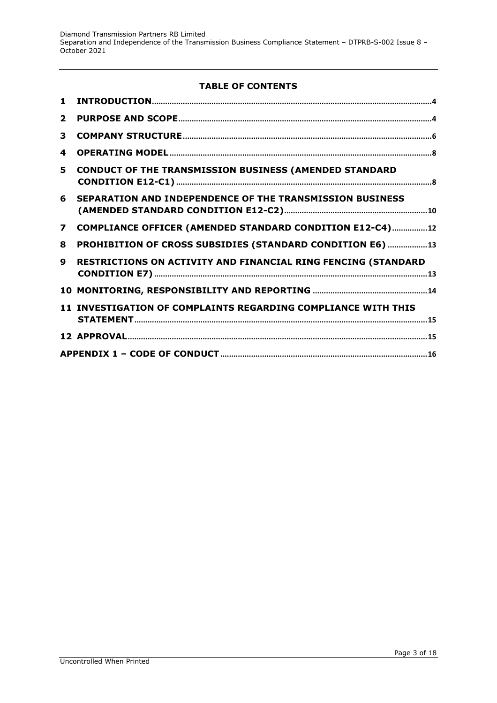# **TABLE OF CONTENTS**

| $\mathbf 1$             |                                                               |
|-------------------------|---------------------------------------------------------------|
| $\overline{2}$          |                                                               |
| 3                       |                                                               |
| 4                       |                                                               |
| 5.                      | <b>CONDUCT OF THE TRANSMISSION BUSINESS (AMENDED STANDARD</b> |
| 6                       | SEPARATION AND INDEPENDENCE OF THE TRANSMISSION BUSINESS      |
| $\overline{\mathbf{z}}$ | COMPLIANCE OFFICER (AMENDED STANDARD CONDITION E12-C4)12      |
| 8                       | PROHIBITION OF CROSS SUBSIDIES (STANDARD CONDITION E6) 13     |
| $\boldsymbol{9}$        | RESTRICTIONS ON ACTIVITY AND FINANCIAL RING FENCING (STANDARD |
|                         |                                                               |
|                         | 11 INVESTIGATION OF COMPLAINTS REGARDING COMPLIANCE WITH THIS |
|                         |                                                               |
|                         |                                                               |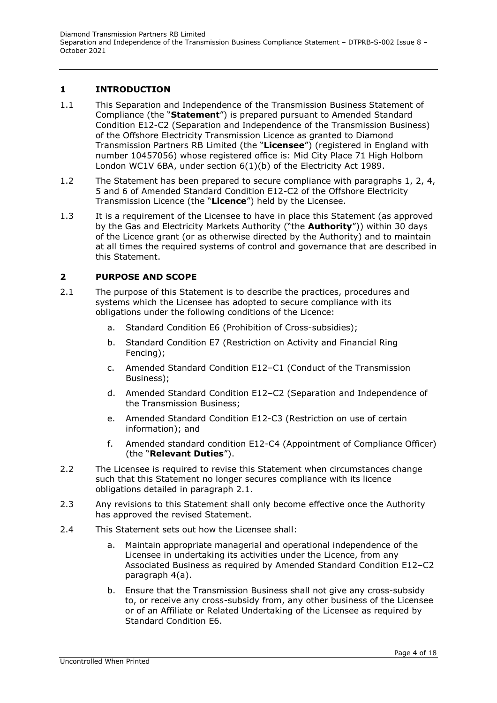# <span id="page-3-0"></span>**1 INTRODUCTION**

- 1.1 This Separation and Independence of the Transmission Business Statement of Compliance (the "**Statement**") is prepared pursuant to Amended Standard Condition E12-C2 (Separation and Independence of the Transmission Business) of the Offshore Electricity Transmission Licence as granted to Diamond Transmission Partners RB Limited (the "**Licensee**") (registered in England with number 10457056) whose registered office is: Mid City Place 71 High Holborn London WC1V 6BA, under section 6(1)(b) of the Electricity Act 1989.
- 1.2 The Statement has been prepared to secure compliance with paragraphs 1, 2, 4, 5 and 6 of Amended Standard Condition E12-C2 of the Offshore Electricity Transmission Licence (the "**Licence**") held by the Licensee.
- 1.3 It is a requirement of the Licensee to have in place this Statement (as approved by the Gas and Electricity Markets Authority ("the **Authority**")) within 30 days of the Licence grant (or as otherwise directed by the Authority) and to maintain at all times the required systems of control and governance that are described in this Statement.

# <span id="page-3-1"></span>**2 PURPOSE AND SCOPE**

- 2.1 The purpose of this Statement is to describe the practices, procedures and systems which the Licensee has adopted to secure compliance with its obligations under the following conditions of the Licence:
	- a. Standard Condition E6 (Prohibition of Cross-subsidies);
	- b. Standard Condition E7 (Restriction on Activity and Financial Ring Fencing);
	- c. Amended Standard Condition E12–C1 (Conduct of the Transmission Business);
	- d. Amended Standard Condition E12–C2 (Separation and Independence of the Transmission Business;
	- e. Amended Standard Condition E12-C3 (Restriction on use of certain information); and
	- f. Amended standard condition E12-C4 (Appointment of Compliance Officer) (the "**Relevant Duties**").
- 2.2 The Licensee is required to revise this Statement when circumstances change such that this Statement no longer secures compliance with its licence obligations detailed in paragraph 2.1.
- 2.3 Any revisions to this Statement shall only become effective once the Authority has approved the revised Statement.
- 2.4 This Statement sets out how the Licensee shall:
	- a. Maintain appropriate managerial and operational independence of the Licensee in undertaking its activities under the Licence, from any Associated Business as required by Amended Standard Condition E12–C2 paragraph 4(a).
	- b. Ensure that the Transmission Business shall not give any cross-subsidy to, or receive any cross-subsidy from, any other business of the Licensee or of an Affiliate or Related Undertaking of the Licensee as required by Standard Condition E6.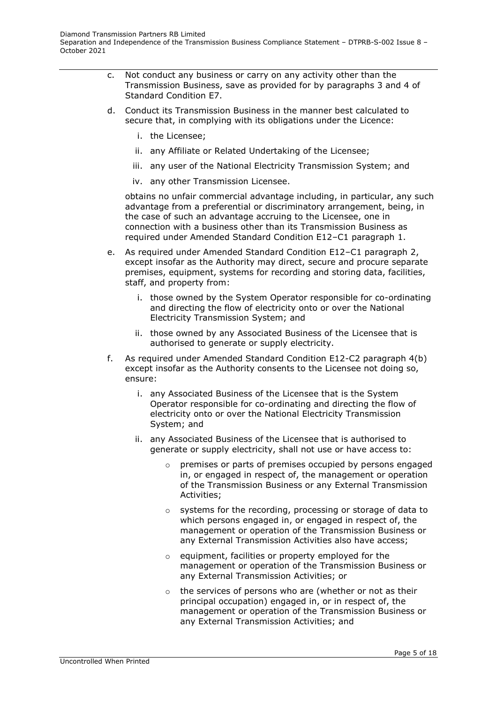- c. Not conduct any business or carry on any activity other than the Transmission Business, save as provided for by paragraphs 3 and 4 of Standard Condition E7.
- d. Conduct its Transmission Business in the manner best calculated to secure that, in complying with its obligations under the Licence:
	- i. the Licensee;
	- ii. any Affiliate or Related Undertaking of the Licensee;
	- iii. any user of the National Electricity Transmission System; and
	- iv. any other Transmission Licensee.

obtains no unfair commercial advantage including, in particular, any such advantage from a preferential or discriminatory arrangement, being, in the case of such an advantage accruing to the Licensee, one in connection with a business other than its Transmission Business as required under Amended Standard Condition E12–C1 paragraph 1.

- e. As required under Amended Standard Condition E12–C1 paragraph 2, except insofar as the Authority may direct, secure and procure separate premises, equipment, systems for recording and storing data, facilities, staff, and property from:
	- i. those owned by the System Operator responsible for co-ordinating and directing the flow of electricity onto or over the National Electricity Transmission System; and
	- ii. those owned by any Associated Business of the Licensee that is authorised to generate or supply electricity.
- f. As required under Amended Standard Condition E12-C2 paragraph 4(b) except insofar as the Authority consents to the Licensee not doing so, ensure:
	- i. any Associated Business of the Licensee that is the System Operator responsible for co-ordinating and directing the flow of electricity onto or over the National Electricity Transmission System; and
	- ii. any Associated Business of the Licensee that is authorised to generate or supply electricity, shall not use or have access to:
		- $\circ$  premises or parts of premises occupied by persons engaged in, or engaged in respect of, the management or operation of the Transmission Business or any External Transmission Activities;
		- o systems for the recording, processing or storage of data to which persons engaged in, or engaged in respect of, the management or operation of the Transmission Business or any External Transmission Activities also have access;
		- o equipment, facilities or property employed for the management or operation of the Transmission Business or any External Transmission Activities; or
		- $\circ$  the services of persons who are (whether or not as their principal occupation) engaged in, or in respect of, the management or operation of the Transmission Business or any External Transmission Activities; and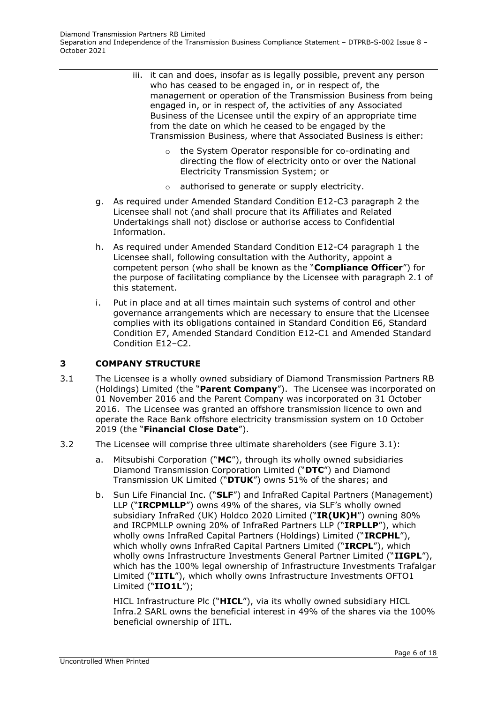- iii. it can and does, insofar as is legally possible, prevent any person who has ceased to be engaged in, or in respect of, the management or operation of the Transmission Business from being engaged in, or in respect of, the activities of any Associated Business of the Licensee until the expiry of an appropriate time from the date on which he ceased to be engaged by the Transmission Business, where that Associated Business is either:
	- o the System Operator responsible for co-ordinating and directing the flow of electricity onto or over the National Electricity Transmission System; or
	- o authorised to generate or supply electricity.
- g. As required under Amended Standard Condition E12-C3 paragraph 2 the Licensee shall not (and shall procure that its Affiliates and Related Undertakings shall not) disclose or authorise access to Confidential Information.
- h. As required under Amended Standard Condition E12-C4 paragraph 1 the Licensee shall, following consultation with the Authority, appoint a competent person (who shall be known as the "**Compliance Officer**") for the purpose of facilitating compliance by the Licensee with paragraph 2.1 of this statement.
- i. Put in place and at all times maintain such systems of control and other governance arrangements which are necessary to ensure that the Licensee complies with its obligations contained in Standard Condition E6, Standard Condition E7, Amended Standard Condition E12-C1 and Amended Standard Condition E12–C2.

## <span id="page-5-0"></span>**3 COMPANY STRUCTURE**

- 3.1 The Licensee is a wholly owned subsidiary of Diamond Transmission Partners RB (Holdings) Limited (the "**Parent Company**"). The Licensee was incorporated on 01 November 2016 and the Parent Company was incorporated on 31 October 2016. The Licensee was granted an offshore transmission licence to own and operate the Race Bank offshore electricity transmission system on 10 October 2019 (the "**Financial Close Date**").
- 3.2 The Licensee will comprise three ultimate shareholders (see Figure 3.1):
	- a. Mitsubishi Corporation ("**MC**"), through its wholly owned subsidiaries Diamond Transmission Corporation Limited ("**DTC**") and Diamond Transmission UK Limited ("**DTUK**") owns 51% of the shares; and
	- b. Sun Life Financial Inc. ("**SLF**") and InfraRed Capital Partners (Management) LLP ("**IRCPMLLP**") owns 49% of the shares, via SLF's wholly owned subsidiary InfraRed (UK) Holdco 2020 Limited ("**IR(UK)H**") owning 80% and IRCPMLLP owning 20% of InfraRed Partners LLP ("**IRPLLP**"), which wholly owns InfraRed Capital Partners (Holdings) Limited ("**IRCPHL**"), which wholly owns InfraRed Capital Partners Limited ("**IRCPL**"), which wholly owns Infrastructure Investments General Partner Limited ("**IIGPL**"), which has the 100% legal ownership of Infrastructure Investments Trafalgar Limited ("**IITL**"), which wholly owns Infrastructure Investments OFTO1 Limited ("**IIO1L**");

HICL Infrastructure Plc ("**HICL**"), via its wholly owned subsidiary HICL Infra.2 SARL owns the beneficial interest in 49% of the shares via the 100% beneficial ownership of IITL.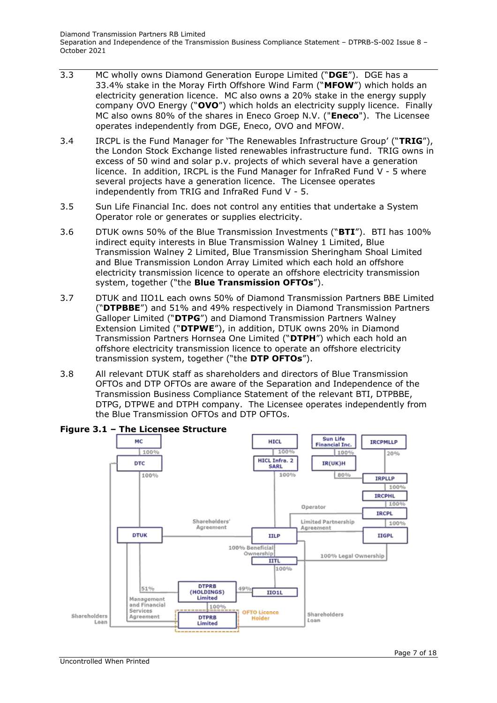- 3.3 MC wholly owns Diamond Generation Europe Limited ("**DGE**"). DGE has a 33.4% stake in the Moray Firth Offshore Wind Farm ("**MFOW**") which holds an electricity generation licence. MC also owns a 20% stake in the energy supply company OVO Energy ("**OVO**") which holds an electricity supply licence. Finally MC also owns 80% of the shares in Eneco Groep N.V. ("**Eneco**"). The Licensee operates independently from DGE, Eneco, OVO and MFOW.
- 3.4 IRCPL is the Fund Manager for 'The Renewables Infrastructure Group' ("**TRIG**"), the London Stock Exchange listed renewables infrastructure fund. TRIG owns in excess of 50 wind and solar p.v. projects of which several have a generation licence. In addition, IRCPL is the Fund Manager for InfraRed Fund V - 5 where several projects have a generation licence. The Licensee operates independently from TRIG and InfraRed Fund V - 5.
- 3.5 Sun Life Financial Inc. does not control any entities that undertake a System Operator role or generates or supplies electricity.
- 3.6 DTUK owns 50% of the Blue Transmission Investments ("**BTI**"). BTI has 100% indirect equity interests in Blue Transmission Walney 1 Limited, Blue Transmission Walney 2 Limited, Blue Transmission Sheringham Shoal Limited and Blue Transmission London Array Limited which each hold an offshore electricity transmission licence to operate an offshore electricity transmission system, together ("the **Blue Transmission OFTOs**").
- 3.7 DTUK and IIO1L each owns 50% of Diamond Transmission Partners BBE Limited ("**DTPBBE**") and 51% and 49% respectively in Diamond Transmission Partners Galloper Limited ("**DTPG**") and Diamond Transmission Partners Walney Extension Limited ("**DTPWE**"), in addition, DTUK owns 20% in Diamond Transmission Partners Hornsea One Limited ("**DTPH**") which each hold an offshore electricity transmission licence to operate an offshore electricity transmission system, together ("the **DTP OFTOs**").
- 3.8 All relevant DTUK staff as shareholders and directors of Blue Transmission OFTOs and DTP OFTOs are aware of the Separation and Independence of the Transmission Business Compliance Statement of the relevant BTI, DTPBBE, DTPG, DTPWE and DTPH company. The Licensee operates independently from the Blue Transmission OFTOs and DTP OFTOs.



## **Figure 3.1 – The Licensee Structure**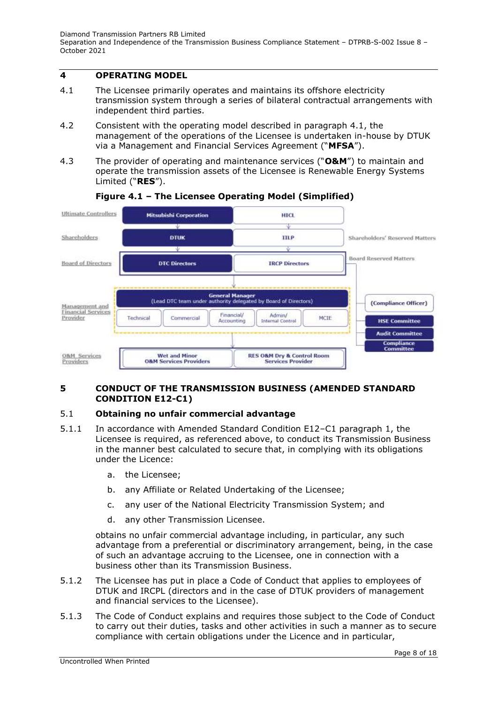# <span id="page-7-0"></span>**4 OPERATING MODEL**

- 4.1 The Licensee primarily operates and maintains its offshore electricity transmission system through a series of bilateral contractual arrangements with independent third parties.
- 4.2 Consistent with the operating model described in paragraph 4.1, the management of the operations of the Licensee is undertaken in-house by DTUK via a Management and Financial Services Agreement ("**MFSA**").
- 4.3 The provider of operating and maintenance services ("**O&M**") to maintain and operate the transmission assets of the Licensee is Renewable Energy Systems Limited ("**RES**").



# **Figure 4.1 – The Licensee Operating Model (Simplified)**

## <span id="page-7-1"></span>**5 CONDUCT OF THE TRANSMISSION BUSINESS (AMENDED STANDARD CONDITION E12-C1)**

## 5.1 **Obtaining no unfair commercial advantage**

- 5.1.1 In accordance with Amended Standard Condition E12–C1 paragraph 1, the Licensee is required, as referenced above, to conduct its Transmission Business in the manner best calculated to secure that, in complying with its obligations under the Licence:
	- a. the Licensee;
	- b. any Affiliate or Related Undertaking of the Licensee;
	- c. any user of the National Electricity Transmission System; and
	- d. any other Transmission Licensee.

obtains no unfair commercial advantage including, in particular, any such advantage from a preferential or discriminatory arrangement, being, in the case of such an advantage accruing to the Licensee, one in connection with a business other than its Transmission Business.

- 5.1.2 The Licensee has put in place a Code of Conduct that applies to employees of DTUK and IRCPL (directors and in the case of DTUK providers of management and financial services to the Licensee).
- 5.1.3 The Code of Conduct explains and requires those subject to the Code of Conduct to carry out their duties, tasks and other activities in such a manner as to secure compliance with certain obligations under the Licence and in particular,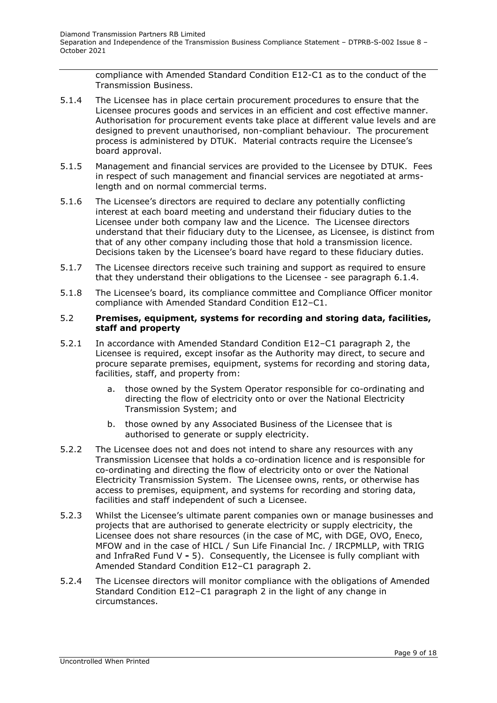compliance with Amended Standard Condition E12-C1 as to the conduct of the Transmission Business.

- 5.1.4 The Licensee has in place certain procurement procedures to ensure that the Licensee procures goods and services in an efficient and cost effective manner. Authorisation for procurement events take place at different value levels and are designed to prevent unauthorised, non-compliant behaviour. The procurement process is administered by DTUK. Material contracts require the Licensee's board approval.
- 5.1.5 Management and financial services are provided to the Licensee by DTUK. Fees in respect of such management and financial services are negotiated at armslength and on normal commercial terms.
- 5.1.6 The Licensee's directors are required to declare any potentially conflicting interest at each board meeting and understand their fiduciary duties to the Licensee under both company law and the Licence. The Licensee directors understand that their fiduciary duty to the Licensee, as Licensee, is distinct from that of any other company including those that hold a transmission licence. Decisions taken by the Licensee's board have regard to these fiduciary duties.
- 5.1.7 The Licensee directors receive such training and support as required to ensure that they understand their obligations to the Licensee - see paragraph 6.1.4.
- 5.1.8 The Licensee's board, its compliance committee and Compliance Officer monitor compliance with Amended Standard Condition E12–C1.

#### 5.2 **Premises, equipment, systems for recording and storing data, facilities, staff and property**

- 5.2.1 In accordance with Amended Standard Condition E12–C1 paragraph 2, the Licensee is required, except insofar as the Authority may direct, to secure and procure separate premises, equipment, systems for recording and storing data, facilities, staff, and property from:
	- a. those owned by the System Operator responsible for co-ordinating and directing the flow of electricity onto or over the National Electricity Transmission System; and
	- b. those owned by any Associated Business of the Licensee that is authorised to generate or supply electricity.
- 5.2.2 The Licensee does not and does not intend to share any resources with any Transmission Licensee that holds a co-ordination licence and is responsible for co-ordinating and directing the flow of electricity onto or over the National Electricity Transmission System. The Licensee owns, rents, or otherwise has access to premises, equipment, and systems for recording and storing data, facilities and staff independent of such a Licensee.
- 5.2.3 Whilst the Licensee's ultimate parent companies own or manage businesses and projects that are authorised to generate electricity or supply electricity, the Licensee does not share resources (in the case of MC, with DGE, OVO, Eneco, MFOW and in the case of HICL / Sun Life Financial Inc. / IRCPMLLP, with TRIG and InfraRed Fund V **-** 5). Consequently, the Licensee is fully compliant with Amended Standard Condition E12–C1 paragraph 2.
- 5.2.4 The Licensee directors will monitor compliance with the obligations of Amended Standard Condition E12–C1 paragraph 2 in the light of any change in circumstances.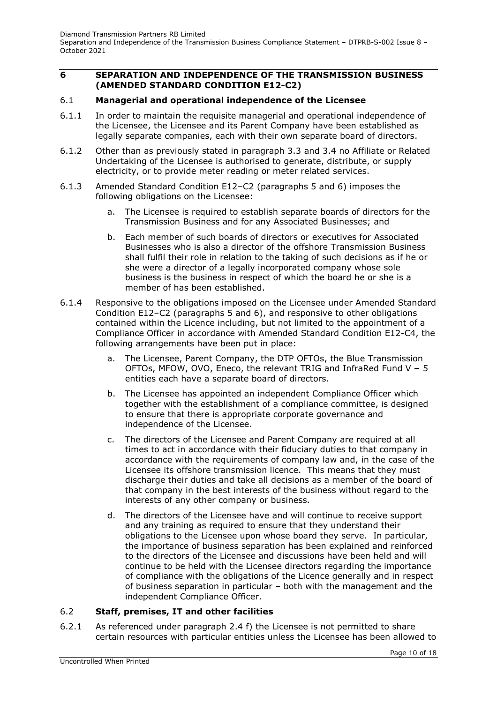## <span id="page-9-0"></span>**6 SEPARATION AND INDEPENDENCE OF THE TRANSMISSION BUSINESS (AMENDED STANDARD CONDITION E12-C2)**

#### 6.1 **Managerial and operational independence of the Licensee**

- 6.1.1 In order to maintain the requisite managerial and operational independence of the Licensee, the Licensee and its Parent Company have been established as legally separate companies, each with their own separate board of directors.
- 6.1.2 Other than as previously stated in paragraph 3.3 and 3.4 no Affiliate or Related Undertaking of the Licensee is authorised to generate, distribute, or supply electricity, or to provide meter reading or meter related services.
- 6.1.3 Amended Standard Condition E12–C2 (paragraphs 5 and 6) imposes the following obligations on the Licensee:
	- a. The Licensee is required to establish separate boards of directors for the Transmission Business and for any Associated Businesses; and
	- b. Each member of such boards of directors or executives for Associated Businesses who is also a director of the offshore Transmission Business shall fulfil their role in relation to the taking of such decisions as if he or she were a director of a legally incorporated company whose sole business is the business in respect of which the board he or she is a member of has been established.
- 6.1.4 Responsive to the obligations imposed on the Licensee under Amended Standard Condition E12–C2 (paragraphs 5 and 6), and responsive to other obligations contained within the Licence including, but not limited to the appointment of a Compliance Officer in accordance with Amended Standard Condition E12-C4, the following arrangements have been put in place:
	- a. The Licensee, Parent Company, the DTP OFTOs, the Blue Transmission OFTOs, MFOW, OVO, Eneco, the relevant TRIG and InfraRed Fund V **–** 5 entities each have a separate board of directors.
	- b. The Licensee has appointed an independent Compliance Officer which together with the establishment of a compliance committee, is designed to ensure that there is appropriate corporate governance and independence of the Licensee.
	- c. The directors of the Licensee and Parent Company are required at all times to act in accordance with their fiduciary duties to that company in accordance with the requirements of company law and, in the case of the Licensee its offshore transmission licence. This means that they must discharge their duties and take all decisions as a member of the board of that company in the best interests of the business without regard to the interests of any other company or business.
	- d. The directors of the Licensee have and will continue to receive support and any training as required to ensure that they understand their obligations to the Licensee upon whose board they serve. In particular, the importance of business separation has been explained and reinforced to the directors of the Licensee and discussions have been held and will continue to be held with the Licensee directors regarding the importance of compliance with the obligations of the Licence generally and in respect of business separation in particular – both with the management and the independent Compliance Officer.

## 6.2 **Staff, premises, IT and other facilities**

6.2.1 As referenced under paragraph 2.4 f) the Licensee is not permitted to share certain resources with particular entities unless the Licensee has been allowed to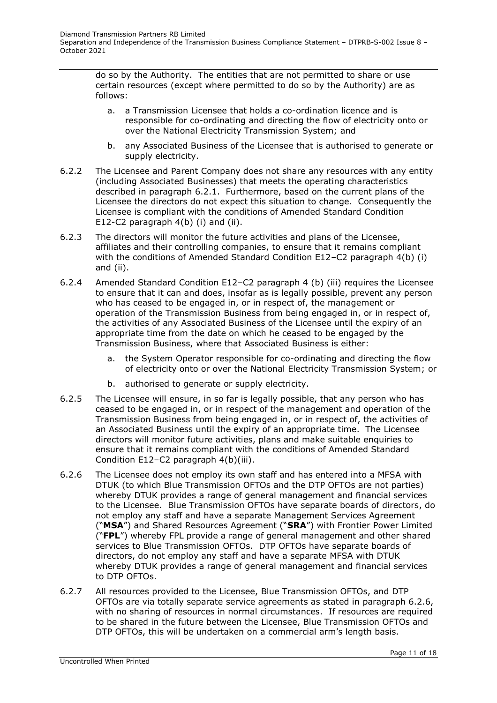do so by the Authority. The entities that are not permitted to share or use certain resources (except where permitted to do so by the Authority) are as follows:

- a. a Transmission Licensee that holds a co-ordination licence and is responsible for co-ordinating and directing the flow of electricity onto or over the National Electricity Transmission System; and
- b. any Associated Business of the Licensee that is authorised to generate or supply electricity.
- 6.2.2 The Licensee and Parent Company does not share any resources with any entity (including Associated Businesses) that meets the operating characteristics described in paragraph 6.2.1. Furthermore, based on the current plans of the Licensee the directors do not expect this situation to change. Consequently the Licensee is compliant with the conditions of Amended Standard Condition E12-C2 paragraph 4(b) (i) and (ii).
- 6.2.3 The directors will monitor the future activities and plans of the Licensee, affiliates and their controlling companies, to ensure that it remains compliant with the conditions of Amended Standard Condition E12–C2 paragraph 4(b) (i) and (ii).
- 6.2.4 Amended Standard Condition E12–C2 paragraph 4 (b) (iii) requires the Licensee to ensure that it can and does, insofar as is legally possible, prevent any person who has ceased to be engaged in, or in respect of, the management or operation of the Transmission Business from being engaged in, or in respect of, the activities of any Associated Business of the Licensee until the expiry of an appropriate time from the date on which he ceased to be engaged by the Transmission Business, where that Associated Business is either:
	- a. the System Operator responsible for co-ordinating and directing the flow of electricity onto or over the National Electricity Transmission System; or
	- b. authorised to generate or supply electricity.
- 6.2.5 The Licensee will ensure, in so far is legally possible, that any person who has ceased to be engaged in, or in respect of the management and operation of the Transmission Business from being engaged in, or in respect of, the activities of an Associated Business until the expiry of an appropriate time. The Licensee directors will monitor future activities, plans and make suitable enquiries to ensure that it remains compliant with the conditions of Amended Standard Condition E12–C2 paragraph 4(b)(iii).
- 6.2.6 The Licensee does not employ its own staff and has entered into a MFSA with DTUK (to which Blue Transmission OFTOs and the DTP OFTOs are not parties) whereby DTUK provides a range of general management and financial services to the Licensee. Blue Transmission OFTOs have separate boards of directors, do not employ any staff and have a separate Management Services Agreement ("**MSA**") and Shared Resources Agreement ("**SRA**") with Frontier Power Limited ("**FPL**") whereby FPL provide a range of general management and other shared services to Blue Transmission OFTOs. DTP OFTOs have separate boards of directors, do not employ any staff and have a separate MFSA with DTUK whereby DTUK provides a range of general management and financial services to DTP OFTOs.
- 6.2.7 All resources provided to the Licensee, Blue Transmission OFTOs, and DTP OFTOs are via totally separate service agreements as stated in paragraph 6.2.6, with no sharing of resources in normal circumstances. If resources are required to be shared in the future between the Licensee, Blue Transmission OFTOs and DTP OFTOs, this will be undertaken on a commercial arm's length basis.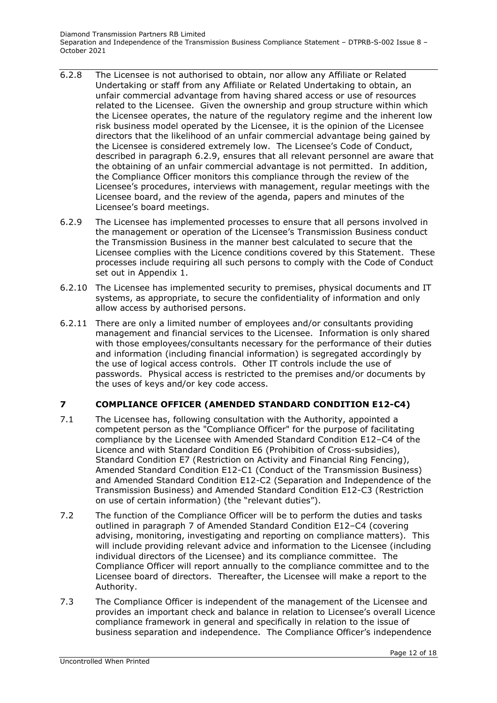- 6.2.8 The Licensee is not authorised to obtain, nor allow any Affiliate or Related Undertaking or staff from any Affiliate or Related Undertaking to obtain, an unfair commercial advantage from having shared access or use of resources related to the Licensee. Given the ownership and group structure within which the Licensee operates, the nature of the regulatory regime and the inherent low risk business model operated by the Licensee, it is the opinion of the Licensee directors that the likelihood of an unfair commercial advantage being gained by the Licensee is considered extremely low. The Licensee's Code of Conduct, described in paragraph 6.2.9, ensures that all relevant personnel are aware that the obtaining of an unfair commercial advantage is not permitted. In addition, the Compliance Officer monitors this compliance through the review of the Licensee's procedures, interviews with management, regular meetings with the Licensee board, and the review of the agenda, papers and minutes of the Licensee's board meetings.
- 6.2.9 The Licensee has implemented processes to ensure that all persons involved in the management or operation of the Licensee's Transmission Business conduct the Transmission Business in the manner best calculated to secure that the Licensee complies with the Licence conditions covered by this Statement. These processes include requiring all such persons to comply with the Code of Conduct set out in Appendix 1.
- 6.2.10 The Licensee has implemented security to premises, physical documents and IT systems, as appropriate, to secure the confidentiality of information and only allow access by authorised persons.
- 6.2.11 There are only a limited number of employees and/or consultants providing management and financial services to the Licensee. Information is only shared with those employees/consultants necessary for the performance of their duties and information (including financial information) is segregated accordingly by the use of logical access controls. Other IT controls include the use of passwords. Physical access is restricted to the premises and/or documents by the uses of keys and/or key code access.

# <span id="page-11-0"></span>**7 COMPLIANCE OFFICER (AMENDED STANDARD CONDITION E12-C4)**

- 7.1 The Licensee has, following consultation with the Authority, appointed a competent person as the "Compliance Officer" for the purpose of facilitating compliance by the Licensee with Amended Standard Condition E12–C4 of the Licence and with Standard Condition E6 (Prohibition of Cross-subsidies), Standard Condition E7 (Restriction on Activity and Financial Ring Fencing), Amended Standard Condition E12-C1 (Conduct of the Transmission Business) and Amended Standard Condition E12-C2 (Separation and Independence of the Transmission Business) and Amended Standard Condition E12-C3 (Restriction on use of certain information) (the "relevant duties").
- 7.2 The function of the Compliance Officer will be to perform the duties and tasks outlined in paragraph 7 of Amended Standard Condition E12–C4 (covering advising, monitoring, investigating and reporting on compliance matters). This will include providing relevant advice and information to the Licensee (including individual directors of the Licensee) and its compliance committee. The Compliance Officer will report annually to the compliance committee and to the Licensee board of directors. Thereafter, the Licensee will make a report to the Authority.
- 7.3 The Compliance Officer is independent of the management of the Licensee and provides an important check and balance in relation to Licensee's overall Licence compliance framework in general and specifically in relation to the issue of business separation and independence. The Compliance Officer's independence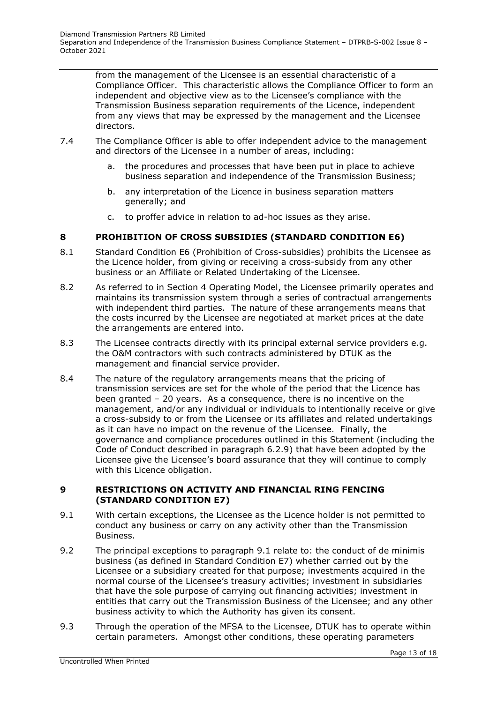from the management of the Licensee is an essential characteristic of a Compliance Officer. This characteristic allows the Compliance Officer to form an independent and objective view as to the Licensee's compliance with the Transmission Business separation requirements of the Licence, independent from any views that may be expressed by the management and the Licensee directors.

- 7.4 The Compliance Officer is able to offer independent advice to the management and directors of the Licensee in a number of areas, including:
	- a. the procedures and processes that have been put in place to achieve business separation and independence of the Transmission Business;
	- b. any interpretation of the Licence in business separation matters generally; and
	- c. to proffer advice in relation to ad-hoc issues as they arise.

## <span id="page-12-0"></span>**8 PROHIBITION OF CROSS SUBSIDIES (STANDARD CONDITION E6)**

- 8.1 Standard Condition E6 (Prohibition of Cross-subsidies) prohibits the Licensee as the Licence holder, from giving or receiving a cross-subsidy from any other business or an Affiliate or Related Undertaking of the Licensee.
- 8.2 As referred to in Section 4 Operating Model, the Licensee primarily operates and maintains its transmission system through a series of contractual arrangements with independent third parties. The nature of these arrangements means that the costs incurred by the Licensee are negotiated at market prices at the date the arrangements are entered into.
- 8.3 The Licensee contracts directly with its principal external service providers e.g. the O&M contractors with such contracts administered by DTUK as the management and financial service provider.
- 8.4 The nature of the regulatory arrangements means that the pricing of transmission services are set for the whole of the period that the Licence has been granted – 20 years. As a consequence, there is no incentive on the management, and/or any individual or individuals to intentionally receive or give a cross-subsidy to or from the Licensee or its affiliates and related undertakings as it can have no impact on the revenue of the Licensee. Finally, the governance and compliance procedures outlined in this Statement (including the Code of Conduct described in paragraph 6.2.9) that have been adopted by the Licensee give the Licensee's board assurance that they will continue to comply with this Licence obligation.

#### <span id="page-12-1"></span>**9 RESTRICTIONS ON ACTIVITY AND FINANCIAL RING FENCING (STANDARD CONDITION E7)**

- 9.1 With certain exceptions, the Licensee as the Licence holder is not permitted to conduct any business or carry on any activity other than the Transmission Business.
- 9.2 The principal exceptions to paragraph 9.1 relate to: the conduct of de minimis business (as defined in Standard Condition E7) whether carried out by the Licensee or a subsidiary created for that purpose; investments acquired in the normal course of the Licensee's treasury activities; investment in subsidiaries that have the sole purpose of carrying out financing activities; investment in entities that carry out the Transmission Business of the Licensee; and any other business activity to which the Authority has given its consent.
- 9.3 Through the operation of the MFSA to the Licensee, DTUK has to operate within certain parameters. Amongst other conditions, these operating parameters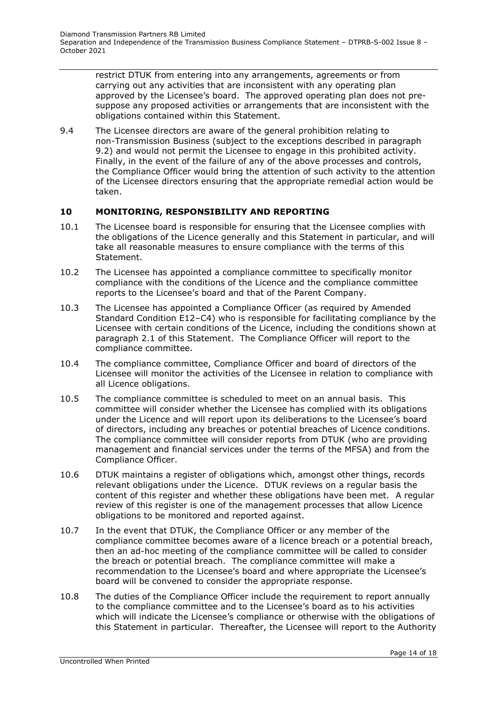restrict DTUK from entering into any arrangements, agreements or from carrying out any activities that are inconsistent with any operating plan approved by the Licensee's board. The approved operating plan does not presuppose any proposed activities or arrangements that are inconsistent with the obligations contained within this Statement.

9.4 The Licensee directors are aware of the general prohibition relating to non-Transmission Business (subject to the exceptions described in paragraph 9.2) and would not permit the Licensee to engage in this prohibited activity. Finally, in the event of the failure of any of the above processes and controls, the Compliance Officer would bring the attention of such activity to the attention of the Licensee directors ensuring that the appropriate remedial action would be taken.

## <span id="page-13-0"></span>**10 MONITORING, RESPONSIBILITY AND REPORTING**

- 10.1 The Licensee board is responsible for ensuring that the Licensee complies with the obligations of the Licence generally and this Statement in particular, and will take all reasonable measures to ensure compliance with the terms of this Statement.
- 10.2 The Licensee has appointed a compliance committee to specifically monitor compliance with the conditions of the Licence and the compliance committee reports to the Licensee's board and that of the Parent Company.
- 10.3 The Licensee has appointed a Compliance Officer (as required by Amended Standard Condition E12–C4) who is responsible for facilitating compliance by the Licensee with certain conditions of the Licence, including the conditions shown at paragraph 2.1 of this Statement. The Compliance Officer will report to the compliance committee.
- 10.4 The compliance committee, Compliance Officer and board of directors of the Licensee will monitor the activities of the Licensee in relation to compliance with all Licence obligations.
- 10.5 The compliance committee is scheduled to meet on an annual basis. This committee will consider whether the Licensee has complied with its obligations under the Licence and will report upon its deliberations to the Licensee's board of directors, including any breaches or potential breaches of Licence conditions. The compliance committee will consider reports from DTUK (who are providing management and financial services under the terms of the MFSA) and from the Compliance Officer.
- 10.6 DTUK maintains a register of obligations which, amongst other things, records relevant obligations under the Licence. DTUK reviews on a regular basis the content of this register and whether these obligations have been met. A regular review of this register is one of the management processes that allow Licence obligations to be monitored and reported against.
- 10.7 In the event that DTUK, the Compliance Officer or any member of the compliance committee becomes aware of a licence breach or a potential breach, then an ad-hoc meeting of the compliance committee will be called to consider the breach or potential breach. The compliance committee will make a recommendation to the Licensee's board and where appropriate the Licensee's board will be convened to consider the appropriate response.
- 10.8 The duties of the Compliance Officer include the requirement to report annually to the compliance committee and to the Licensee's board as to his activities which will indicate the Licensee's compliance or otherwise with the obligations of this Statement in particular. Thereafter, the Licensee will report to the Authority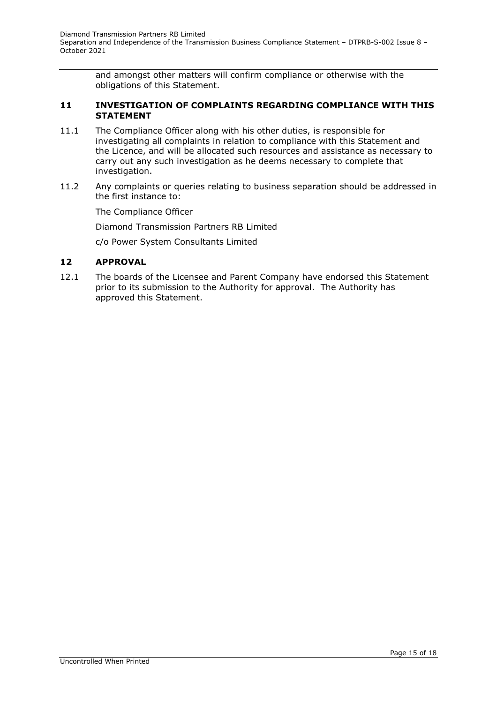and amongst other matters will confirm compliance or otherwise with the obligations of this Statement.

#### <span id="page-14-0"></span>**11 INVESTIGATION OF COMPLAINTS REGARDING COMPLIANCE WITH THIS STATEMENT**

- 11.1 The Compliance Officer along with his other duties, is responsible for investigating all complaints in relation to compliance with this Statement and the Licence, and will be allocated such resources and assistance as necessary to carry out any such investigation as he deems necessary to complete that investigation.
- 11.2 Any complaints or queries relating to business separation should be addressed in the first instance to:

The Compliance Officer

Diamond Transmission Partners RB Limited

c/o Power System Consultants Limited

#### <span id="page-14-1"></span>**12 APPROVAL**

12.1 The boards of the Licensee and Parent Company have endorsed this Statement prior to its submission to the Authority for approval. The Authority has approved this Statement.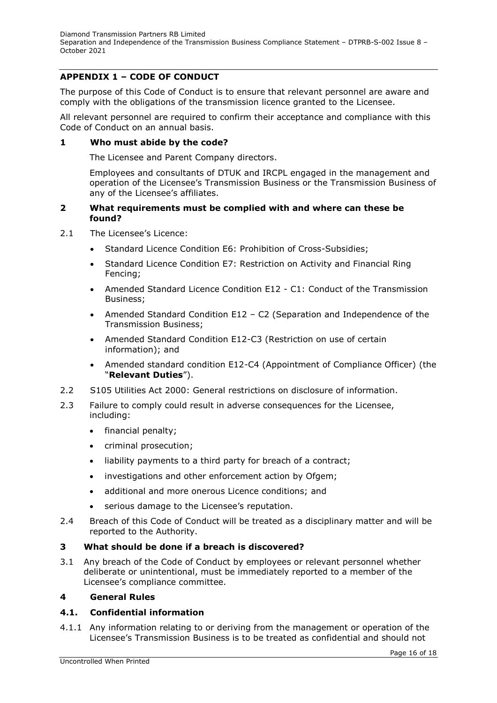# <span id="page-15-0"></span>**APPENDIX 1 – CODE OF CONDUCT**

The purpose of this Code of Conduct is to ensure that relevant personnel are aware and comply with the obligations of the transmission licence granted to the Licensee.

All relevant personnel are required to confirm their acceptance and compliance with this Code of Conduct on an annual basis.

#### **1 Who must abide by the code?**

The Licensee and Parent Company directors.

Employees and consultants of DTUK and IRCPL engaged in the management and operation of the Licensee's Transmission Business or the Transmission Business of any of the Licensee's affiliates.

#### **2 What requirements must be complied with and where can these be found?**

- 2.1 The Licensee's Licence:
	- Standard Licence Condition E6: Prohibition of Cross-Subsidies;
	- Standard Licence Condition E7: Restriction on Activity and Financial Ring Fencing;
	- Amended Standard Licence Condition E12 C1: Conduct of the Transmission Business;
	- Amended Standard Condition E12 C2 (Separation and Independence of the Transmission Business;
	- Amended Standard Condition E12-C3 (Restriction on use of certain information); and
	- Amended standard condition E12-C4 (Appointment of Compliance Officer) (the "**Relevant Duties**").
- 2.2 S105 Utilities Act 2000: General restrictions on disclosure of information.
- 2.3 Failure to comply could result in adverse consequences for the Licensee, including:
	- financial penalty;
	- criminal prosecution;
	- liability payments to a third party for breach of a contract;
	- investigations and other enforcement action by Ofgem;
	- additional and more onerous Licence conditions; and
	- serious damage to the Licensee's reputation.
- 2.4 Breach of this Code of Conduct will be treated as a disciplinary matter and will be reported to the Authority.

## **3 What should be done if a breach is discovered?**

3.1 Any breach of the Code of Conduct by employees or relevant personnel whether deliberate or unintentional, must be immediately reported to a member of the Licensee's compliance committee.

#### **4 General Rules**

## **4.1. Confidential information**

4.1.1 Any information relating to or deriving from the management or operation of the Licensee's Transmission Business is to be treated as confidential and should not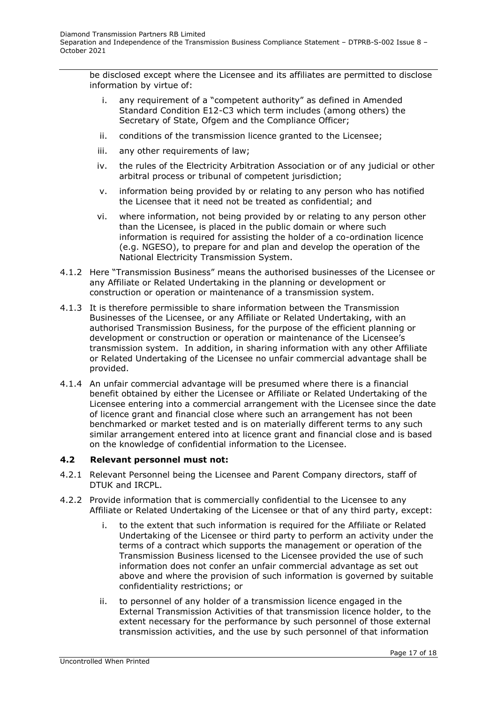be disclosed except where the Licensee and its affiliates are permitted to disclose information by virtue of:

- i. any requirement of a "competent authority" as defined in Amended Standard Condition E12-C3 which term includes (among others) the Secretary of State, Ofgem and the Compliance Officer;
- ii. conditions of the transmission licence granted to the Licensee;
- iii. any other requirements of law;
- iv. the rules of the Electricity Arbitration Association or of any judicial or other arbitral process or tribunal of competent jurisdiction;
- v. information being provided by or relating to any person who has notified the Licensee that it need not be treated as confidential; and
- vi. where information, not being provided by or relating to any person other than the Licensee, is placed in the public domain or where such information is required for assisting the holder of a co-ordination licence (e.g. NGESO), to prepare for and plan and develop the operation of the National Electricity Transmission System.
- 4.1.2 Here "Transmission Business" means the authorised businesses of the Licensee or any Affiliate or Related Undertaking in the planning or development or construction or operation or maintenance of a transmission system.
- 4.1.3 It is therefore permissible to share information between the Transmission Businesses of the Licensee, or any Affiliate or Related Undertaking, with an authorised Transmission Business, for the purpose of the efficient planning or development or construction or operation or maintenance of the Licensee's transmission system. In addition, in sharing information with any other Affiliate or Related Undertaking of the Licensee no unfair commercial advantage shall be provided.
- 4.1.4 An unfair commercial advantage will be presumed where there is a financial benefit obtained by either the Licensee or Affiliate or Related Undertaking of the Licensee entering into a commercial arrangement with the Licensee since the date of licence grant and financial close where such an arrangement has not been benchmarked or market tested and is on materially different terms to any such similar arrangement entered into at licence grant and financial close and is based on the knowledge of confidential information to the Licensee.

# **4.2 Relevant personnel must not:**

- 4.2.1 Relevant Personnel being the Licensee and Parent Company directors, staff of DTUK and IRCPL.
- 4.2.2 Provide information that is commercially confidential to the Licensee to any Affiliate or Related Undertaking of the Licensee or that of any third party, except:
	- i. to the extent that such information is required for the Affiliate or Related Undertaking of the Licensee or third party to perform an activity under the terms of a contract which supports the management or operation of the Transmission Business licensed to the Licensee provided the use of such information does not confer an unfair commercial advantage as set out above and where the provision of such information is governed by suitable confidentiality restrictions; or
	- ii. to personnel of any holder of a transmission licence engaged in the External Transmission Activities of that transmission licence holder, to the extent necessary for the performance by such personnel of those external transmission activities, and the use by such personnel of that information